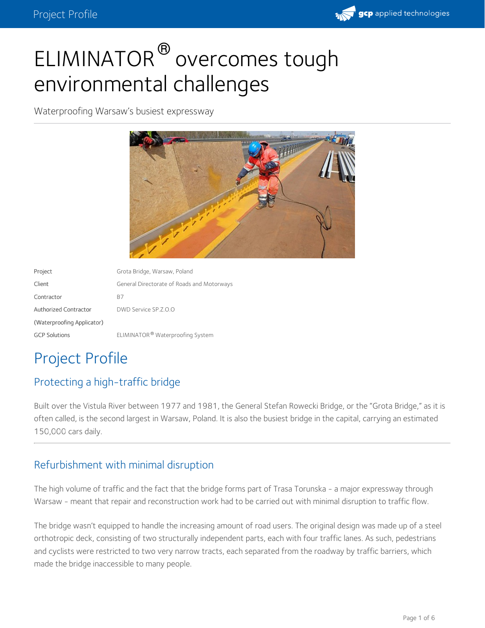

# ELIMINATOR<sup>®</sup> overcomes tough environmental challenges

Waterproofing Warsaw's busiest expressway



| Project                      | Grota Bridge, Warsaw, Poland                 |
|------------------------------|----------------------------------------------|
| Client                       | General Directorate of Roads and Motorways   |
| Contractor                   | B7                                           |
| <b>Authorized Contractor</b> | DWD Service SP.Z.O.O                         |
| (Waterproofing Applicator)   |                                              |
| <b>GCP Solutions</b>         | ELIMINATOR <sup>®</sup> Waterproofing System |

## Project Profile

#### Protecting a high-traffic bridge

Built over the Vistula River between 1977 and 1981, the General Stefan Rowecki Bridge, or the "Grota Bridge," as it is often called, is the second largest in Warsaw, Poland. It is also the busiest bridge in the capital, carrying an estimated 150,000 cars daily.

#### Refurbishment with minimal disruption

The high volume of traffic and the fact that the bridge forms part of Trasa Torunska - a major expressway through Warsaw - meant that repair and reconstruction work had to be carried out with minimal disruption to traffic flow.

The bridge wasn't equipped to handle the increasing amount of road users. The original design was made up of a steel orthotropic deck, consisting of two structurally independent parts, each with four traffic lanes. As such, pedestrians and cyclists were restricted to two very narrow tracts, each separated from the roadway by traffic barriers, which made the bridge inaccessible to many people.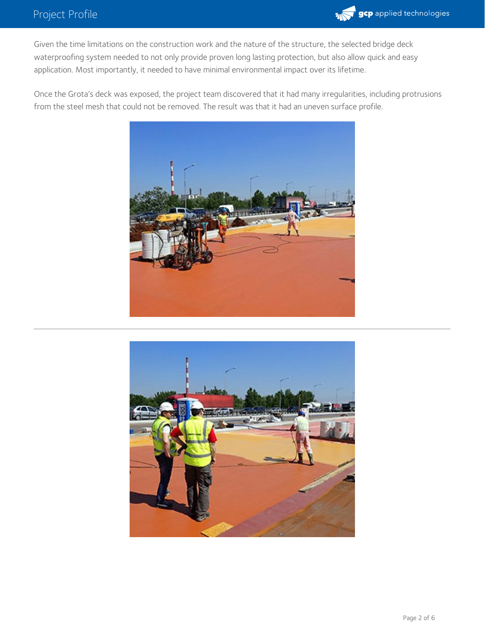

Given the time limitations on the construction work and the nature of the structure, the selected bridge deck waterproofing system needed to not only provide proven long lasting protection, but also allow quick and easy application. Most importantly, it needed to have minimal environmental impact over its lifetime.

Once the Grota's deck was exposed, the project team discovered that it had many irregularities, including protrusions from the steel mesh that could not be removed. The result was that it had an uneven surface profile.



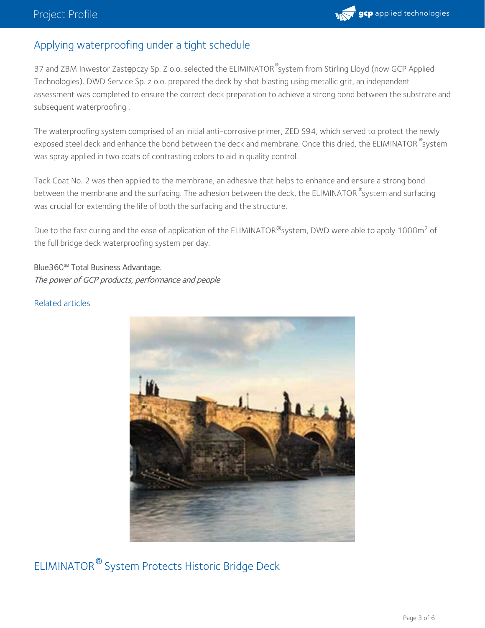#### Applying waterproofing under a tight schedule

B7 and ZBM Inwestor Zast**ę**pczy Sp. Z o.o. selected the ELIMINATOR<sup>®</sup>system from Stirling Lloyd (now GCP Applied Technologies). DWD Service Sp. z o.o. prepared the deck by shot blasting using metallic grit, an independent assessment was completed to ensure the correct deck preparation to achieve a strong bond between the substrate and subsequent waterproofing .

The waterproofing system comprised of an initial anti-corrosive primer, ZED S94, which served to protect the newly exposed steel deck and enhance the bond between the deck and membrane. Once this dried, the ELIMINATOR  $^\circ$ system was spray applied in two coats of contrasting colors to aid in quality control.

Tack Coat No. 2 was then applied to the membrane, an adhesive that helps to enhance and ensure a strong bond between the membrane and the surfacing. The adhesion between the deck, the ELIMINATOR  $^\circ$ system and surfacing was crucial for extending the life of both the surfacing and the structure.

Due to the fast curing and the ease of application of the ELIMINATOR®system, DWD were able to apply 1000m<sup>2</sup> of the full bridge deck waterproofing system per day.

Blue360**℠** Total Business Advantage. The power of GCP products, performance and people

#### Related articles



ELIMINATOR  $^\circledR$  System Protects Historic Bridge Deck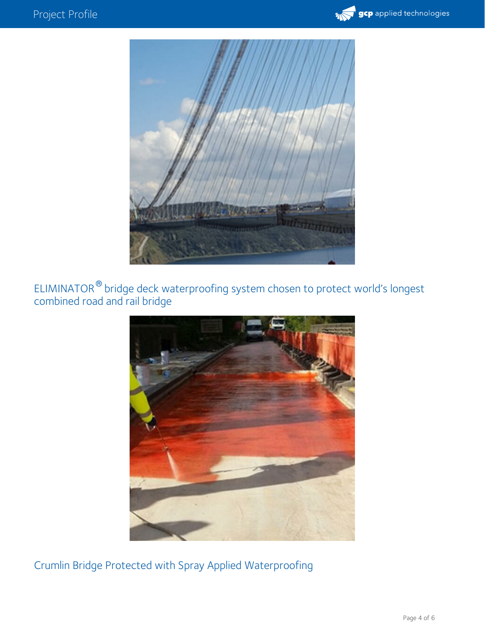



ELIMINATOR<sup>®</sup> bridge deck waterproofing system chosen to protect world's longest combined road and rail bridge  $^{\circledR}$  hride



Crumlin Bridge Protected with Spray Applied Waterproofing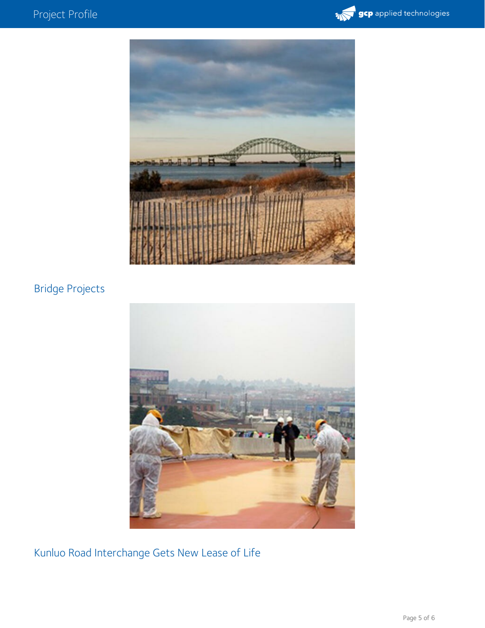



### Bridge Projects



Kunluo Road Interchange Gets New Lease of Life